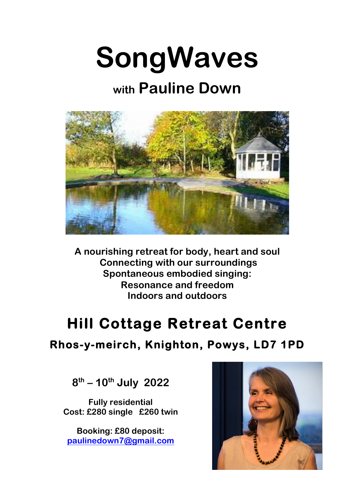

## **with Pauline Down**



**A nourishing retreat for body, heart and soul Connecting with our surroundings Spontaneous embodied singing: Resonance and freedom Indoors and outdoors**

## **Hill Cottage Retreat Centre**

## **Rhos-y-meirch, Knighton, Powys, LD7 1PD**

**8th – 10th July 2022**

**Fully residential Cost: £280 single £260 twin**

**Booking: £80 deposit: paulinedown7@gmail.com**